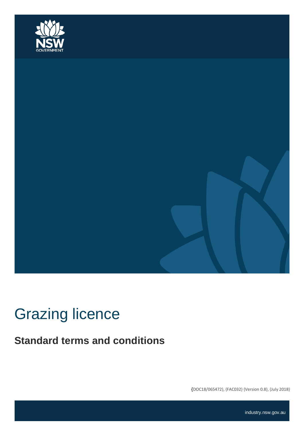



# Grazing licence

**Standard terms and conditions**

**{**DOC18/065472}, {FAC032} {Version 0.8}, {July 2018}

industry.nsw.gov.au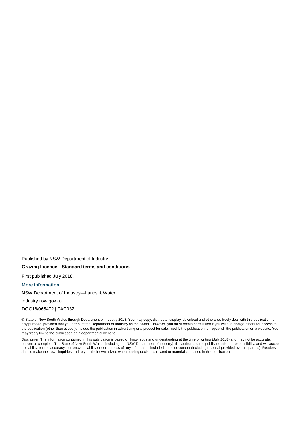Published by NSW Department of Industry **Grazing Licence—Standard terms and conditions**

First published July 2018.

**More information**

NSW Department of Industry—Lands & Water

industry.nsw.gov.au

DOC18/065472 | FAC032

© State of New South Wales through Department of Industry 2018. You may copy, distribute, display, download and otherwise freely deal with this publication for any purpose, provided that you attribute the Department of Industry as the owner. However, you must obtain permission if you wish to charge others for access to the publication (other than at cost); include the publication in advertising or a product for sale; modify the publication; or republish the publication on a website. You may freely link to the publication on a departmental website.

Disclaimer: The information contained in this publication is based on knowledge and understanding at the time of writing (July 2018) and may not be accurate, current or complete. The State of New South Wales (including the NSW Department of Industry), the author and the publisher take no responsibility, and will accept no liability, for the accuracy, currency, reliability or correctness of any information included in the document (including material provided by third parties). Readers should make their own inquiries and rely on their own advice when making decisions related to material contained in this publication.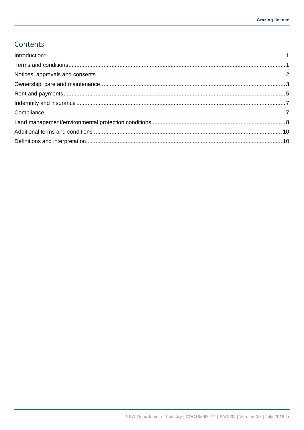#### Contents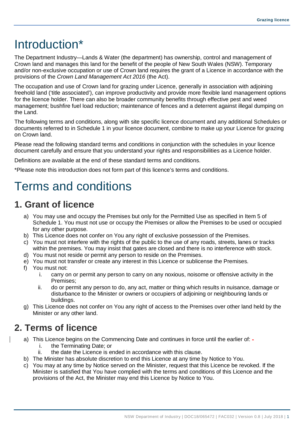## <span id="page-3-0"></span>Introduction\*

The Department Industry—Lands & Water (the department) has ownership, control and management of Crown land and manages this land for the benefit of the people of New South Wales (NSW). Temporary and/or non-exclusive occupation or use of Crown land requires the grant of a Licence in accordance with the provisions of the *Crown Land Management Act 2016* (the Act).

The occupation and use of Crown land for grazing under Licence, generally in association with adjoining freehold land ('title associated'), can improve productivity and provide more flexible land management options for the licence holder. There can also be broader community benefits through effective pest and weed management; bushfire fuel load reduction; maintenance of fences and a deterrent against illegal dumping on the Land.

The following terms and conditions, along with site specific licence document and any additional Schedules or documents referred to in Schedule 1 in your licence document, combine to make up your Licence for grazing on Crown land.

Please read the following standard terms and conditions in conjunction with the schedules in your licence document carefully and ensure that you understand your rights and responsibilities as a Licence holder.

Definitions are available at the end of these standard terms and conditions.

\*Please note this introduction does not form part of this licence's terms and conditions.

## <span id="page-3-1"></span>Terms and conditions

#### **1. Grant of licence**

- a) You may use and occupy the Premises but only for the Permitted Use as specified in Item 5 of Schedule 1. You must not use or occupy the Premises or allow the Premises to be used or occupied for any other purpose.
- b) This Licence does not confer on You any right of exclusive possession of the Premises.
- c) You must not interfere with the rights of the public to the use of any roads, streets, lanes or tracks within the premises. You may insist that gates are closed and there is no interference with stock.
- d) You must not reside or permit any person to reside on the Premises.
- e) You must not transfer or create any interest in this Licence or sublicense the Premises.
- f) You must not:
	- i. carry on or permit any person to carry on any noxious, noisome or offensive activity in the Premises;
	- ii. do or permit any person to do, any act, matter or thing which results in nuisance, damage or disturbance to the Minister or owners or occupiers of adjoining or neighbouring lands or buildings.
- g) This Licence does not confer on You any right of access to the Premises over other land held by the Minister or any other land.

#### **2. Terms of licence**

- a) This Licence begins on the Commencing Date and continues in force until the earlier of:
	- i. the Terminating Date; or
	- ii. the date the Licence is ended in accordance with this clause.
- b) The Minister has absolute discretion to end this Licence at any time by Notice to You.
- c) You may at any time by Notice served on the Minister, request that this Licence be revoked. If the Minister is satisfied that You have complied with the terms and conditions of this Licence and the provisions of the Act, the Minister may end this Licence by Notice to You.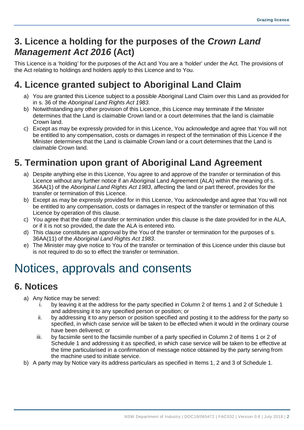### **3. Licence a holding for the purposes of the** *Crown Land Management Act 2016* **(Act)**

This Licence is a 'holding' for the purposes of the Act and You are a 'holder' under the Act. The provisions of the Act relating to holdings and holders apply to this Licence and to You.

### **4. Licence granted subject to Aboriginal Land Claim**

- a) You are granted this Licence subject to a possible Aboriginal Land Claim over this Land as provided for in s. 36 of the *Aboriginal Land Rights Act 1983*.
- b) Notwithstanding any other provision of this Licence, this Licence may terminate if the Minister determines that the Land is claimable Crown land or a court determines that the land is claimable Crown land.
- c) Except as may be expressly provided for in this Licence, You acknowledge and agree that You will not be entitled to any compensation, costs or damages in respect of the termination of this Licence if the Minister determines that the Land is claimable Crown land or a court determines that the Land is claimable Crown land.

## **5. Termination upon grant of Aboriginal Land Agreement**

- a) Despite anything else in this Licence, You agree to and approve of the transfer or termination of this Licence without any further notice if an Aboriginal Land Agreement (ALA) within the meaning of s. 36AA(1) of the *Aboriginal Land Rights Act 1983*, affecting the land or part thereof, provides for the transfer or termination of this Licence.
- b) Except as may be expressly provided for in this Licence, You acknowledge and agree that You will not be entitled to any compensation, costs or damages in respect of the transfer or termination of this Licence by operation of this clause.
- c) You agree that the date of transfer or termination under this clause is the date provided for in the ALA, or if it is not so provided, the date the ALA is entered into.
- d) This clause constitutes an approval by the You of the transfer or termination for the purposes of s. 36AA(11) of the *Aboriginal Land Rights Act 1983*.
- e) The Minister may give notice to You of the transfer or termination of this Licence under this clause but is not required to do so to effect the transfer or termination.

## <span id="page-4-0"></span>Notices, approvals and consents

### **6. Notices**

- a) Any Notice may be served:
	- i. by leaving it at the address for the party specified in Column 2 of Items 1 and 2 of Schedule 1 and addressing it to any specified person or position; or
	- ii. by addressing it to any person or position specified and posting it to the address for the party so specified, in which case service will be taken to be effected when it would in the ordinary course have been delivered; or
	- iii. by facsimile sent to the facsimile number of a party specified in Column 2 of Items 1 or 2 of Schedule 1 and addressing it as specified, in which case service will be taken to be effective at the time particularised in a confirmation of message notice obtained by the party serving from the machine used to initiate service.
- b) A party may by Notice vary its address particulars as specified in Items 1, 2 and 3 of Schedule 1.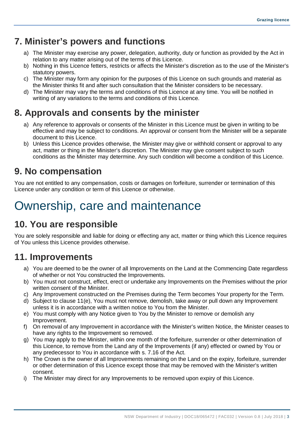#### **7. Minister's powers and functions**

- a) The Minister may exercise any power, delegation, authority, duty or function as provided by the Act in relation to any matter arising out of the terms of this Licence.
- b) Nothing in this Licence fetters, restricts or affects the Minister's discretion as to the use of the Minister's statutory powers.
- c) The Minister may form any opinion for the purposes of this Licence on such grounds and material as the Minister thinks fit and after such consultation that the Minister considers to be necessary.
- d) The Minister may vary the terms and conditions of this Licence at any time. You will be notified in writing of any variations to the terms and conditions of this Licence.

### **8. Approvals and consents by the minister**

- a) Any reference to approvals or consents of the Minister in this Licence must be given in writing to be effective and may be subject to conditions. An approval or consent from the Minister will be a separate document to this Licence.
- b) Unless this Licence provides otherwise, the Minister may give or withhold consent or approval to any act, matter or thing in the Minister's discretion. The Minister may give consent subject to such conditions as the Minister may determine. Any such condition will become a condition of this Licence.

#### **9. No compensation**

You are not entitled to any compensation, costs or damages on forfeiture, surrender or termination of this Licence under any condition or term of this Licence or otherwise.

## <span id="page-5-0"></span>Ownership, care and maintenance

### **10. You are responsible**

You are solely responsible and liable for doing or effecting any act, matter or thing which this Licence requires of You unless this Licence provides otherwise.

#### **11. Improvements**

- a) You are deemed to be the owner of all Improvements on the Land at the Commencing Date regardless of whether or not You constructed the Improvements.
- b) You must not construct, effect, erect or undertake any Improvements on the Premises without the prior written consent of the Minister.
- c) Any Improvement constructed on the Premises during the Term becomes Your property for the Term.
- d) Subject to clause 11(e), You must not remove, demolish, take away or pull down any Improvement unless it is in accordance with a written notice to You from the Minister.
- e) You must comply with any Notice given to You by the Minister to remove or demolish any Improvement.
- f) On removal of any Improvement in accordance with the Minister's written Notice, the Minister ceases to have any rights to the Improvement so removed.
- g) You may apply to the Minister, within one month of the forfeiture, surrender or other determination of this Licence, to remove from the Land any of the Improvements (if any) effected or owned by You or any predecessor to You in accordance with s. 7.16 of the Act.
- h) The Crown is the owner of all Improvements remaining on the Land on the expiry, forfeiture, surrender or other determination of this Licence except those that may be removed with the Minister's written consent.
- i) The Minister may direct for any Improvements to be removed upon expiry of this Licence.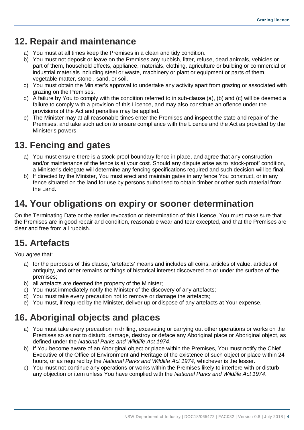#### **12. Repair and maintenance**

- a) You must at all times keep the Premises in a clean and tidy condition.
- b) You must not deposit or leave on the Premises any rubbish, litter, refuse, dead animals, vehicles or part of them, household effects, appliance, materials, clothing, agriculture or building or commercial or industrial materials including steel or waste, machinery or plant or equipment or parts of them, vegetable matter, stone , sand, or soil.
- c) You must obtain the Minister's approval to undertake any activity apart from grazing or associated with grazing on the Premises.
- d) A failure by You to comply with the condition referred to in sub-clause (a), (b) and (c) will be deemed a failure to comply with a provision of this Licence, and may also constitute an offence under the provisions of the Act and penalties may be applied.
- e) The Minister may at all reasonable times enter the Premises and inspect the state and repair of the Premises, and take such action to ensure compliance with the Licence and the Act as provided by the Minister's powers.

### **13. Fencing and gates**

- a) You must ensure there is a stock-proof boundary fence in place, and agree that any construction and/or maintenance of the fence is at your cost. Should any dispute arise as to 'stock-proof' condition, a Minister's delegate will determine any fencing specifications required and such decision will be final.
- b) If directed by the Minister, You must erect and maintain gates in any fence You construct, or in any fence situated on the land for use by persons authorised to obtain timber or other such material from the Land.

#### **14. Your obligations on expiry or sooner determination**

On the Terminating Date or the earlier revocation or determination of this Licence, You must make sure that the Premises are in good repair and condition, reasonable wear and tear excepted, and that the Premises are clear and free from all rubbish.

### **15. Artefacts**

You agree that:

- a) for the purposes of this clause, 'artefacts' means and includes all coins, articles of value, articles of antiquity, and other remains or things of historical interest discovered on or under the surface of the premises;
- b) all artefacts are deemed the property of the Minister;
- c) You must immediately notify the Minister of the discovery of any artefacts;
- d) You must take every precaution not to remove or damage the artefacts;
- e) You must, if required by the Minister, deliver up or dispose of any artefacts at Your expense.

### **16. Aboriginal objects and places**

- a) You must take every precaution in drilling, excavating or carrying out other operations or works on the Premises so as not to disturb, damage, destroy or deface any Aboriginal place or Aboriginal object, as defined under the *National Parks and Wildlife Act 1974*.
- b) If You become aware of an Aboriginal object or place within the Premises, You must notify the Chief Executive of the Office of Environment and Heritage of the existence of such object or place within 24 hours, or as required by the *National Parks and Wildlife Act 1974*, whichever is the lesser.
- c) You must not continue any operations or works within the Premises likely to interfere with or disturb any objection or item unless You have complied with the *National Parks and Wildlife Act 1974*.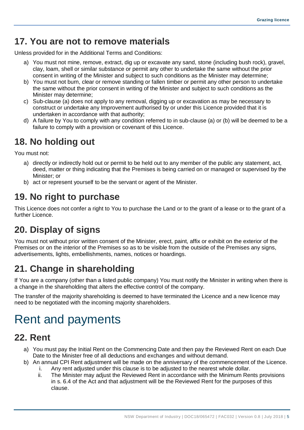#### **17. You are not to remove materials**

Unless provided for in the Additional Terms and Conditions:

- a) You must not mine, remove, extract, dig up or excavate any sand, stone (including bush rock), gravel, clay, loam, shell or similar substance or permit any other to undertake the same without the prior consent in writing of the Minister and subject to such conditions as the Minister may determine;
- b) You must not burn, clear or remove standing or fallen timber or permit any other person to undertake the same without the prior consent in writing of the Minister and subject to such conditions as the Minister may determine;
- c) Sub-clause (a) does not apply to any removal, digging up or excavation as may be necessary to construct or undertake any Improvement authorised by or under this Licence provided that it is undertaken in accordance with that authority;
- d) A failure by You to comply with any condition referred to in sub-clause (a) or (b) will be deemed to be a failure to comply with a provision or covenant of this Licence.

## **18. No holding out**

You must not:

- a) directly or indirectly hold out or permit to be held out to any member of the public any statement, act, deed, matter or thing indicating that the Premises is being carried on or managed or supervised by the Minister; or
- b) act or represent yourself to be the servant or agent of the Minister.

## **19. No right to purchase**

This Licence does not confer a right to You to purchase the Land or to the grant of a lease or to the grant of a further Licence.

## **20. Display of signs**

You must not without prior written consent of the Minister, erect, paint, affix or exhibit on the exterior of the Premises or on the interior of the Premises so as to be visible from the outside of the Premises any signs, advertisements, lights, embellishments, names, notices or hoardings.

## **21. Change in shareholding**

If You are a company (other than a listed public company) You must notify the Minister in writing when there is a change in the shareholding that alters the effective control of the company.

The transfer of the majority shareholding is deemed to have terminated the Licence and a new licence may need to be negotiated with the incoming majority shareholders.

## <span id="page-7-0"></span>Rent and payments

#### **22. Rent**

- a) You must pay the Initial Rent on the Commencing Date and then pay the Reviewed Rent on each Due Date to the Minister free of all deductions and exchanges and without demand.
- b) An annual CPI Rent adjustment will be made on the anniversary of the commencement of the Licence.
	- i. Any rent adjusted under this clause is to be adjusted to the nearest whole dollar.
	- ii. The Minister may adjust the Reviewed Rent in accordance with the Minimum Rents provisions in s. 6.4 of the Act and that adjustment will be the Reviewed Rent for the purposes of this clause.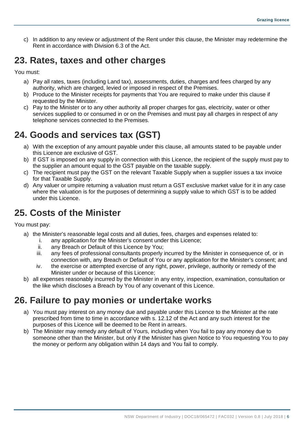c) In addition to any review or adjustment of the Rent under this clause, the Minister may redetermine the Rent in accordance with Division 6.3 of the Act.

#### **23. Rates, taxes and other charges**

You must:

- a) Pay all rates, taxes (including Land tax), assessments, duties, charges and fees charged by any authority, which are charged, levied or imposed in respect of the Premises.
- b) Produce to the Minister receipts for payments that You are required to make under this clause if requested by the Minister.
- c) Pay to the Minister or to any other authority all proper charges for gas, electricity, water or other services supplied to or consumed in or on the Premises and must pay all charges in respect of any telephone services connected to the Premises.

### **24. Goods and services tax (GST)**

- a) With the exception of any amount payable under this clause, all amounts stated to be payable under this Licence are exclusive of GST.
- b) If GST is imposed on any supply in connection with this Licence, the recipient of the supply must pay to the supplier an amount equal to the GST payable on the taxable supply.
- c) The recipient must pay the GST on the relevant Taxable Supply when a supplier issues a tax invoice for that Taxable Supply.
- d) Any valuer or umpire returning a valuation must return a GST exclusive market value for it in any case where the valuation is for the purposes of determining a supply value to which GST is to be added under this Licence.

### **25. Costs of the Minister**

You must pay:

- a) the Minister's reasonable legal costs and all duties, fees, charges and expenses related to:
	- i. any application for the Minister's consent under this Licence;
	- ii. any Breach or Default of this Licence by You;
	- iii. any fees of professional consultants properly incurred by the Minister in consequence of, or in connection with, any Breach or Default of You or any application for the Minister's consent; and
	- iv. the exercise or attempted exercise of any right, power, privilege, authority or remedy of the Minister under or because of this Licence;
- b) all expenses reasonably incurred by the Minister in any entry, inspection, examination, consultation or the like which discloses a Breach by You of any covenant of this Licence.

#### **26. Failure to pay monies or undertake works**

- a) You must pay interest on any money due and payable under this Licence to the Minister at the rate prescribed from time to time in accordance with s. 12.12 of the Act and any such interest for the purposes of this Licence will be deemed to be Rent in arrears.
- b) The Minister may remedy any default of Yours, including when You fail to pay any money due to someone other than the Minister, but only if the Minister has given Notice to You requesting You to pay the money or perform any obligation within 14 days and You fail to comply.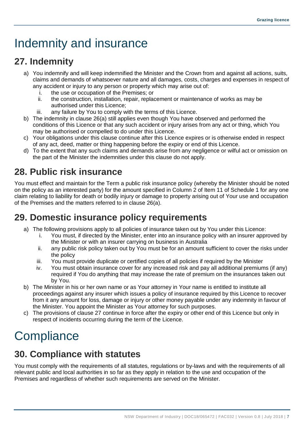## <span id="page-9-0"></span>Indemnity and insurance

### **27. Indemnity**

- a) You indemnify and will keep indemnified the Minister and the Crown from and against all actions, suits, claims and demands of whatsoever nature and all damages, costs, charges and expenses in respect of any accident or injury to any person or property which may arise out of:
	- i. the use or occupation of the Premises; or<br>ii. the construction, installation, repair, replac
	- the construction, installation, repair, replacement or maintenance of works as may be authorised under this Licence;
	- iii. any failure by You to comply with the terms of this Licence.
- b) The indemnity in clause 26(a) still applies even though You have observed and performed the conditions of this Licence or that any such accident or injury arises from any act or thing, which You may be authorised or compelled to do under this Licence.
- c) Your obligations under this clause continue after this Licence expires or is otherwise ended in respect of any act, deed, matter or thing happening before the expiry or end of this Licence.
- d) To the extent that any such claims and demands arise from any negligence or wilful act or omission on the part of the Minister the indemnities under this clause do not apply.

### **28. Public risk insurance**

You must effect and maintain for the Term a public risk insurance policy (whereby the Minister should be noted on the policy as an interested party) for the amount specified in Column 2 of Item 11 of Schedule 1 for any one claim relating to liability for death or bodily injury or damage to property arising out of Your use and occupation of the Premises and the matters referred to in clause 26(a).

### **29. Domestic insurance policy requirements**

- a) The following provisions apply to all policies of insurance taken out by You under this Licence:
	- i. You must, if directed by the Minister, enter into an insurance policy with an insurer approved by the Minister or with an insurer carrying on business in Australia
	- ii. any public risk policy taken out by You must be for an amount sufficient to cover the risks under the policy
	- iii. You must provide duplicate or certified copies of all policies if required by the Minister
	- iv. You must obtain insurance cover for any increased risk and pay all additional premiums (if any) required if You do anything that may increase the rate of premium on the insurances taken out by You.
- b) The Minister in his or her own name or as Your attorney in Your name is entitled to institute all proceedings against any insurer which issues a policy of insurance required by this Licence to recover from it any amount for loss, damage or injury or other money payable under any indemnity in favour of the Minister. You appoint the Minister as Your attorney for such purposes.
- c) The provisions of clause 27 continue in force after the expiry or other end of this Licence but only in respect of incidents occurring during the term of the Licence.

## <span id="page-9-1"></span>**Compliance**

### **30. Compliance with statutes**

You must comply with the requirements of all statutes, regulations or by-laws and with the requirements of all relevant public and local authorities in so far as they apply in relation to the use and occupation of the Premises and regardless of whether such requirements are served on the Minister.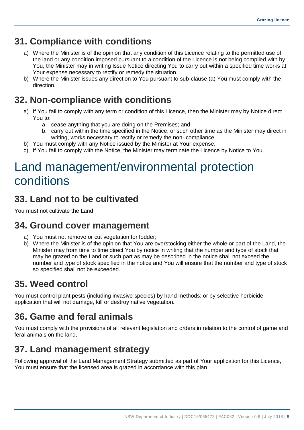#### **31. Compliance with conditions**

- a) Where the Minister is of the opinion that any condition of this Licence relating to the permitted use of the land or any condition imposed pursuant to a condition of the Licence is not being complied with by You, the Minister may in writing Issue Notice directing You to carry out within a specified time works at Your expense necessary to rectify or remedy the situation.
- b) Where the Minister issues any direction to You pursuant to sub-clause (a) You must comply with the direction.

### **32. Non-compliance with conditions**

- a) If You fail to comply with any term or condition of this Licence, then the Minister may by Notice direct You to:
	- a. cease anything that you are doing on the Premises; and
	- b. carry out within the time specified in the Notice, or such other time as the Minister may direct in writing, works necessary to rectify or remedy the non- compliance.
- b) You must comply with any Notice issued by the Minister at Your expense.
- c) If You fail to comply with the Notice, the Minister may terminate the Licence by Notice to You.

## <span id="page-10-0"></span>Land management/environmental protection conditions

#### **33. Land not to be cultivated**

You must not cultivate the Land.

#### **34. Ground cover management**

- a) You must not remove or cut vegetation for fodder;
- b) Where the Minister is of the opinion that You are overstocking either the whole or part of the Land, the Minister may from time to time direct You by notice in writing that the number and type of stock that may be grazed on the Land or such part as may be described in the notice shall not exceed the number and type of stock specified in the notice and You will ensure that the number and type of stock so specified shall not be exceeded.

#### **35. Weed control**

You must control plant pests (including invasive species) by hand methods; or by selective herbicide application that will not damage, kill or destroy native vegetation.

### **36. Game and feral animals**

You must comply with the provisions of all relevant legislation and orders in relation to the control of game and feral animals on the land.

### **37. Land management strategy**

Following approval of the Land Management Strategy submitted as part of Your application for this Licence, You must ensure that the licensed area is grazed in accordance with this plan.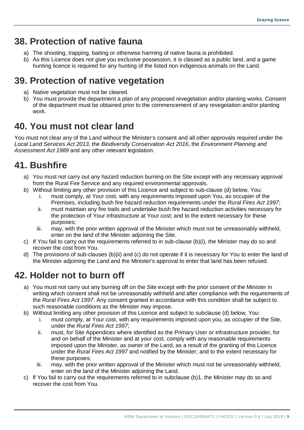#### **38. Protection of native fauna**

- a) The shooting, trapping, baiting or otherwise harming of native fauna is prohibited.
- b) As this Licence does not give you exclusive possession, it is classed as a public land, and a game hunting licence is required for any hunting of the listed non indigenous animals on the Land.

### **39. Protection of native vegetation**

- a) Native vegetation must not be cleared.
- b) You must provide the department a plan of any proposed revegetation and/or planting works. Consent of the department must be obtained prior to the commencement of any revegetation and/or planting work.

#### **40. You must not clear land**

You must not clear any of the Land without the Minister's consent and all other approvals required under the *Local Land Services Act 2013*, the *Biodiversity Conservation Act 2016*, the *Environment Planning and Assessment Act 1989* and any other relevant legislation.

### **41. Bushfire**

- a) You must not carry out any hazard reduction burning on the Site except with any necessary approval from the Rural Fire Service and any required environmental approvals.
- b) Without limiting any other provision of this Licence and subject to sub-clause (d) below, You:
	- i. must comply, at Your cost, with any requirements imposed upon You, as occupier of the Premises, including bush fire hazard reduction requirements under the *Rural Fires Act 1997*;
	- ii. must maintain any fire trails and undertake bush fire hazard reduction activities necessary for the protection of Your infrastructure at Your cost; and to the extent necessary for these purposes;
	- iii. may, with the prior written approval of the Minister which must not be unreasonably withheld, enter on the land of the Minister adjoining the Site.
- c) If You fail to carry out the requirements referred to in sub-clause (b)(i), the Minister may do so and recover the cost from You.
- d) The provisions of sub-clauses (b)(ii) and (c) do not operate if it is necessary for You to enter the land of the Minister adjoining the Land and the Minister's approval to enter that land has been refused.

### **42. Holder not to burn off**

- a) You must not carry out any burning off on the Site except with the prior consent of the Minister in writing which consent shall not be unreasonably withheld and after compliance with the requirements of the *Rural Fires Act 1997*. Any consent granted in accordance with this condition shall be subject to such reasonable conditions as the Minister may impose.
- b) Without limiting any other provision of this Licence and subject to subclause (d) below, You:
	- i. must comply, at Your cost, with any requirements imposed upon you, as occupier of the Site, under the *Rural Fires Act 1997*;
	- ii. must, for Site Appendices where identified as the Primary User or infrastructure provider, for and on behalf of the Minister and at your cost, comply with any reasonable requirements imposed upon the Minister, as owner of the Land, as a result of the granting of this Licence under the *Rural Fires Act 1997* and notified by the Minister; and to the extent necessary for these purposes;
	- iii. may, with the prior written approval of the Minister which must not be unreasonably withheld, enter on the land of the Minister adjoining the Land.
- c) lf You fail to carry out the requirements referred to in subclause (b)1, the Minister may do so and recover the cost from You.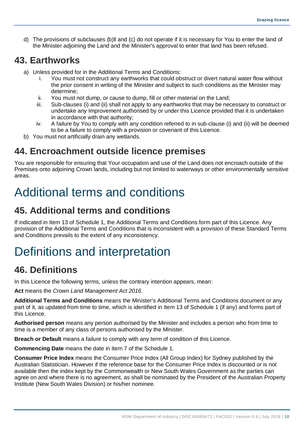d) The provisions of subclauses (b)ll and (c) do not operate if it is necessary for You to enter the land of the Minister adjoining the Land and the Minister's approval to enter that land has been refused.

#### **43. Earthworks**

- a) Unless provided for in the Additional Terms and Conditions:
	- i. You must not construct any earthworks that could obstruct or divert natural water flow without the prior consent in writing of the Minister and subject to such conditions as the Minister may determine;
	- ii. You must not dump, or cause to dump, fill or other material on the Land;
	- iii. Sub-clauses (i) and (ii) shall not apply to any earthworks that may be necessary to construct or undertake any Improvement authorised by or under this Licence provided that it is undertaken in accordance with that authority;
	- iv. A failure by You to comply with any condition referred to in sub-clause (i) and (ii) will be deemed to be a failure to comply with a provision or covenant of this Licence.
- b) You must not artificially drain any wetlands.

#### **44. Encroachment outside licence premises**

You are responsible for ensuring that Your occupation and use of the Land does not encroach outside of the Premises onto adjoining Crown lands, including but not limited to waterways or other environmentally sensitive areas.

## <span id="page-12-0"></span>Additional terms and conditions

### **45. Additional terms and conditions**

If indicated in Item 13 of Schedule 1, the Additional Terms and Conditions form part of this Licence. Any provision of the Additional Terms and Conditions that is inconsistent with a provision of these Standard Terms and Conditions prevails to the extent of any inconsistency.

## <span id="page-12-1"></span>Definitions and interpretation

#### **46. Definitions**

In this Licence the following terms, unless the contrary intention appears, mean:

**Act** means the *Crown Land Management Act 2016*.

**Additional Terms and Conditions** means the Minister's Additional Terms and Conditions document or any part of it, as updated from time to time, which is identified in Item 13 of Schedule 1 (if any) and forms part of this Licence.

**Authorised person** means any person authorised by the Minister and includes a person who from time to time is a member of any class of persons authorised by the Minister.

**Breach or Default** means a failure to comply with any term of condition of this Licence.

**Commencing Date** means the date in Item 7 of the Schedule 1.

**Consumer Price Index** means the Consumer Price Index (All Group Index) for Sydney published by the Australian Statistician. However if the reference base for the Consumer Price Index is discounted or is not available then the index kept by the Commonwealth or New South Wales Government as the parties can agree on and where there is no agreement, as shall be nominated by the President of the Australian Property Institute (New South Wales Division) or his/her nominee.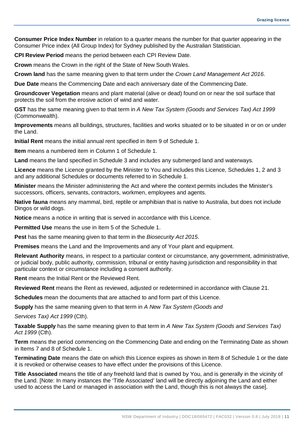**Consumer Price Index Number** in relation to a quarter means the number for that quarter appearing in the Consumer Price index (All Group Index) for Sydney published by the Australian Statistician.

**CPI Review Period** means the period between each CPI Review Date.

**Crown** means the Crown in the right of the State of New South Wales.

**Crown land** has the same meaning given to that term under the *Crown Land Management Act 2016*.

**Due Date** means the Commencing Date and each anniversary date of the Commencing Date.

**Groundcover Vegetation** means and plant material (alive or dead) found on or near the soil surface that protects the soil from the erosive action of wind and water.

**GST** has the same meaning given to that term in *A New Tax System (Goods and Services Tax) Act 1999* (Commonwealth).

**Improvements** means all buildings, structures, facilities and works situated or to be situated in or on or under the Land.

**Initial Rent** means the initial annual rent specified in Item 9 of Schedule 1.

**Item** means a numbered item in Column 1 of Schedule 1.

**Land** means the land specified in Schedule 3 and includes any submerged land and waterways.

**Licence** means the Licence granted by the Minister to You and includes this Licence, Schedules 1, 2 and 3 and any additional Schedules or documents referred to in Schedule 1.

**Minister** means the Minister administering the Act and where the context permits includes the Minister's successors, officers, servants, contractors, workmen, employees and agents.

**Native fauna** means any mammal, bird, reptile or amphibian that is native to Australia, but does not include Dingos or wild dogs.

**Notice** means a notice in writing that is served in accordance with this Licence.

**Permitted Use** means the use in Item 5 of the Schedule 1.

**Pest** has the same meaning given to that term in the *Biosecurity Act 2015*.

**Premises** means the Land and the Improvements and any of Your plant and equipment.

**Relevant Authority** means, in respect to a particular context or circumstance, any government, administrative, or judicial body, public authority, commission, tribunal or entity having jurisdiction and responsibility in that particular context or circumstance including a consent authority.

**Rent** means the Initial Rent or the Reviewed Rent.

**Reviewed Rent** means the Rent as reviewed, adjusted or redetermined in accordance with Clause 21.

**Schedules** mean the documents that are attached to and form part of this Licence.

**Supply** has the same meaning given to that term in *A New Tax System (Goods and*

*Services Tax) Act 1999* (Cth).

**Taxable Supply** has the same meaning given to that term in *A New Tax System (Goods and Services Tax) Act 1999* (Cth).

**Term** means the period commencing on the Commencing Date and ending on the Terminating Date as shown in Items 7 and 8 of Schedule 1.

**Terminating Date** means the date on which this Licence expires as shown in Item 8 of Schedule 1 or the date it is revoked or otherwise ceases to have effect under the provisions of this Licence.

**Title Associated** means the title of any freehold land that is owned by You, and is generally in the vicinity of the Land. [Note: In many instances the 'Title Associated' land will be directly adjoining the Land and either used to access the Land or managed in association with the Land, though this is not always the case].